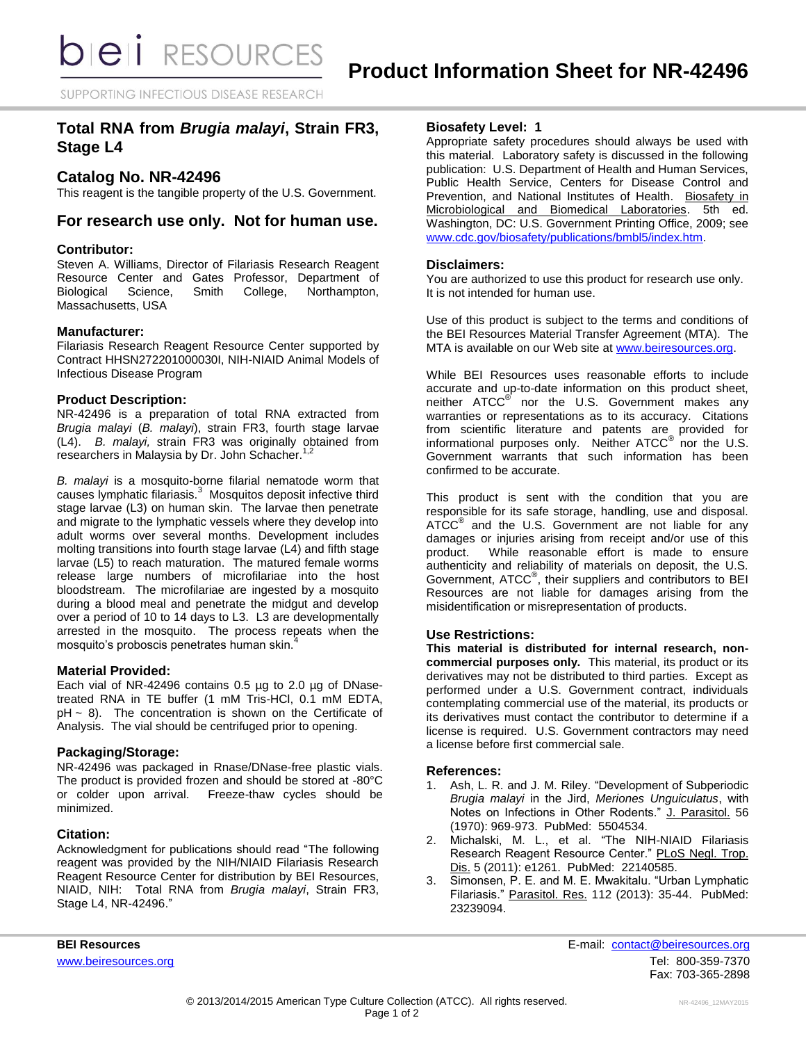SUPPORTING INFECTIOUS DISEASE RESEARCH

# **Total RNA from** *Brugia malayi***, Strain FR3, Stage L4**

## **Catalog No. NR-42496**

This reagent is the tangible property of the U.S. Government.

## **For research use only. Not for human use.**

## **Contributor:**

Steven A. Williams, Director of Filariasis Research Reagent Resource Center and Gates Professor, Department of Biological Science, Smith College, Northampton, Massachusetts, USA

### **Manufacturer:**

Filariasis Research Reagent Resource Center supported by Contract HHSN272201000030I, NIH-NIAID Animal Models of Infectious Disease Program

## **Product Description:**

NR-42496 is a preparation of total RNA extracted from *Brugia malayi* (*B. malayi*), strain FR3, fourth stage larvae (L4). *B. malayi,* strain FR3 was originally obtained from researchers in Malaysia by Dr. John Schacher.<sup>1,2</sup>

*B. malayi* is a mosquito-borne filarial nematode worm that causes lymphatic filariasis.<sup>3</sup> Mosquitos deposit infective third stage larvae (L3) on human skin. The larvae then penetrate and migrate to the lymphatic vessels where they develop into adult worms over several months. Development includes molting transitions into fourth stage larvae (L4) and fifth stage larvae (L5) to reach maturation. The matured female worms release large numbers of microfilariae into the host bloodstream. The microfilariae are ingested by a mosquito during a blood meal and penetrate the midgut and develop over a period of 10 to 14 days to L3. L3 are developmentally arrested in the mosquito. The process repeats when the mosquito's proboscis penetrates human skin.<sup>4</sup>

### **Material Provided:**

Each vial of NR-42496 contains 0.5 µg to 2.0 µg of DNasetreated RNA in TE buffer (1 mM Tris-HCl, 0.1 mM EDTA,  $pH \sim 8$ ). The concentration is shown on the Certificate of Analysis. The vial should be centrifuged prior to opening.

## **Packaging/Storage:**

NR-42496 was packaged in Rnase/DNase-free plastic vials. The product is provided frozen and should be stored at -80°C or colder upon arrival. Freeze-thaw cycles should be minimized.

### **Citation:**

Acknowledgment for publications should read "The following reagent was provided by the NIH/NIAID Filariasis Research Reagent Resource Center for distribution by BEI Resources, NIAID, NIH: Total RNA from *Brugia malayi*, Strain FR3, Stage L4, NR-42496."

## **Biosafety Level: 1**

Appropriate safety procedures should always be used with this material. Laboratory safety is discussed in the following publication: U.S. Department of Health and Human Services, Public Health Service, Centers for Disease Control and Prevention, and National Institutes of Health. Biosafety in Microbiological and Biomedical Laboratories. 5th ed. Washington, DC: U.S. Government Printing Office, 2009; see [www.cdc.gov/biosafety/publications/bmbl5/index.htm.](http://www.cdc.gov/biosafety/publications/bmbl5/index.htm)

### **Disclaimers:**

You are authorized to use this product for research use only. It is not intended for human use.

Use of this product is subject to the terms and conditions of the BEI Resources Material Transfer Agreement (MTA). The MTA is available on our Web site at [www.beiresources.org.](http://www.beiresources.org/)

While BEI Resources uses reasonable efforts to include accurate and up-to-date information on this product sheet, neither ATCC<sup>®</sup> nor the U.S. Government makes any warranties or representations as to its accuracy. Citations from scientific literature and patents are provided for informational purposes only. Neither  $\tt ATCC^@$  nor the U.S. Government warrants that such information has been confirmed to be accurate.

This product is sent with the condition that you are responsible for its safe storage, handling, use and disposal. ATCC<sup>®</sup> and the U.S. Government are not liable for any damages or injuries arising from receipt and/or use of this product. While reasonable effort is made to ensure authenticity and reliability of materials on deposit, the U.S. Government, ATCC® , their suppliers and contributors to BEI Resources are not liable for damages arising from the misidentification or misrepresentation of products.

## **Use Restrictions:**

**This material is distributed for internal research, noncommercial purposes only.** This material, its product or its derivatives may not be distributed to third parties. Except as performed under a U.S. Government contract, individuals contemplating commercial use of the material, its products or its derivatives must contact the contributor to determine if a license is required. U.S. Government contractors may need a license before first commercial sale.

### **References:**

- 1. Ash, L. R. and J. M. Riley. "Development of Subperiodic *Brugia malayi* in the Jird, *Meriones Unguiculatus*, with Notes on Infections in Other Rodents." J. Parasitol. 56 (1970): 969-973. PubMed: 5504534.
- 2. Michalski, M. L., et al. "The NIH-NIAID Filariasis Research Reagent Resource Center." PLoS Negl. Trop. Dis. 5 (2011): e1261. PubMed: 22140585.
- 3. Simonsen, P. E. and M. E. Mwakitalu. "Urban Lymphatic Filariasis." Parasitol. Res. 112 (2013): 35-44. PubMed: 23239094.

**BEI Resources** E-mail: [contact@beiresources.org](mailto:contact@beiresources.org) [www.beiresources.org](http://www.beiresources.org/) **Tel: 800-359-7370** Fax: 703-365-2898